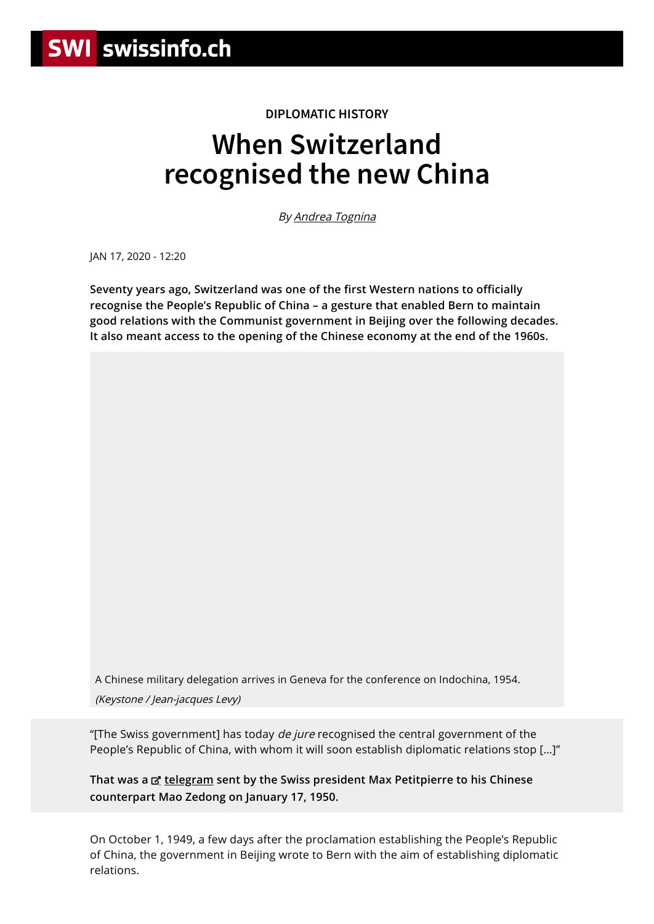## **DIPLOMATIC HISTORY**

## **When Switzerland recognised the new China**

By [Andrea Tognina](https://www.swissinfo.ch/ita/profiles-swissinfo/andrea-tognina)

JAN 17, 2020 - 12:20

**Seventy years ago, Switzerland was one of the first Western nations to officially recognise the People's Republic of China – a gesture that enabled Bern to maintain good relations with the Communist government in Beijing over the following decades. It also meant access to the opening of the Chinese economy at the end of the 1960s.**

A Chinese military delegation arrives in Geneva for the conference on Indochina, 1954. (Keystone / Jean-jacques Levy)

"[The Swiss government] has today *de jure* recognised the central government of the People's Republic of China, with whom it will soon establish diplomatic relations stop […]"

**That was a [telegram](https://dodis.ch/8016) sent by the Swiss president Max Petitpierre to his Chinese counterpart Mao Zedong on January 17, 1950.**

On October 1, 1949, a few days after the proclamation establishing the People's Republic of China, the government in Beijing wrote to Bern with the aim of establishing diplomatic relations.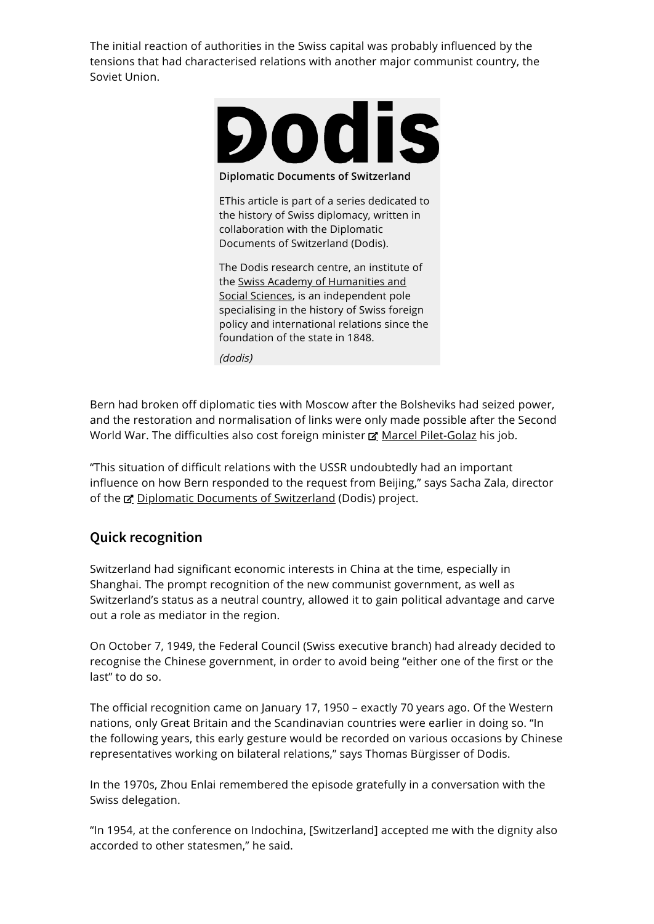The initial reaction of authorities in the Swiss capital was probably influenced by the tensions that had characterised relations with another major communist country, the Soviet Union.



**Diplomatic Documents of Switzerland**

EThis article is part of a series dedicated to the history of Swiss diplomacy, written in collaboration with the Diplomatic Documents of Switzerland (Dodis).

The Dodis research centre, an institute of the Swiss Academy of Humanities and Social Sciences, is an [independent](http://www.zentrum-mehrsprachigkeit.ch/it/content/accademia-svizzera-di-scienze-umane-e-sociali-assu) pole specialising in the history of Swiss foreign policy and international relations since the foundation of the state in 1848.

(dodis)

Bern had broken off diplomatic ties with Moscow after the Bolsheviks had seized power, and the restoration and normalisation of links were only made possible after the Second World War. The difficulties also cost foreign minister **E' Marcel [Pilet-Golaz](https://hls-dhs-dss.ch/it/articles/004641/2011-02-03/)** his job.

"This situation of difficult relations with the USSR undoubtedly had an important influence on how Bern responded to the request from Beijing," says Sacha Zala, director of the  $\alpha$  Diplomatic Documents of [Switzerland](https://www.dodis.ch/en/profile) (Dodis) project.

## **Quick recognition**

Switzerland had significant economic interests in China at the time, especially in Shanghai. The prompt recognition of the new communist government, as well as Switzerland's status as a neutral country, allowed it to gain political advantage and carve out a role as mediator in the region.

On October 7, 1949, the Federal Council (Swiss executive branch) had already decided to recognise the Chinese government, in order to avoid being "either one of the first or the last" to do so.

The official recognition came on January 17, 1950 – exactly 70 years ago. Of the Western nations, only Great Britain and the Scandinavian countries were earlier in doing so. "In the following years, this early gesture would be recorded on various occasions by Chinese representatives working on bilateral relations," says Thomas Bürgisser of Dodis.

In the 1970s, Zhou Enlai remembered the episode gratefully in a conversation with the Swiss delegation.

"In 1954, at the conference on Indochina, [Switzerland] accepted me with the dignity also accorded to other statesmen," he said.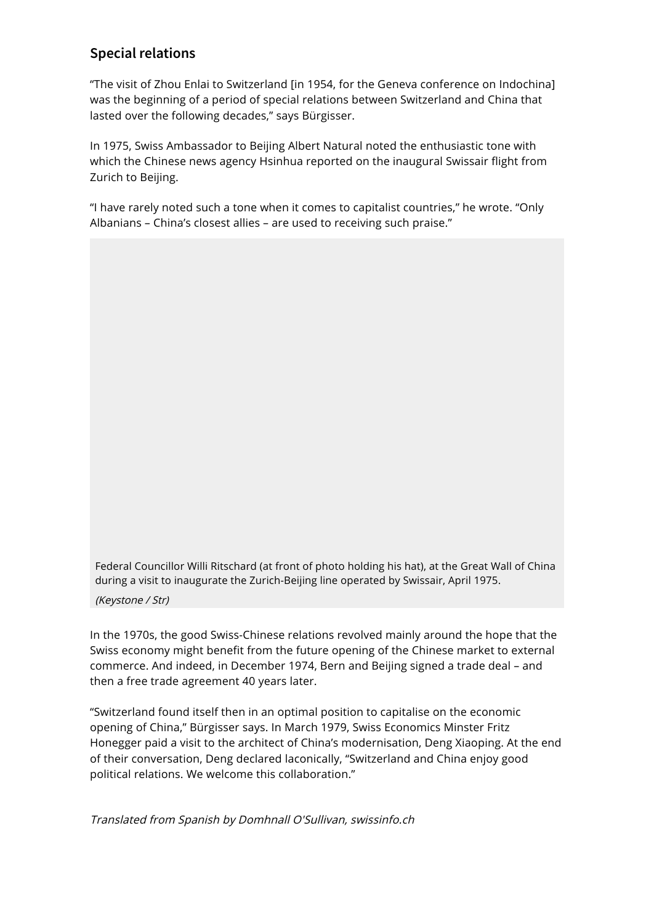## **Special relations**

"The visit of Zhou Enlai to Switzerland [in 1954, for the Geneva conference on Indochina] was the beginning of a period of special relations between Switzerland and China that lasted over the following decades," says Bürgisser.

In 1975, Swiss Ambassador to Beijing Albert Natural noted the enthusiastic tone with which the Chinese news agency Hsinhua reported on the inaugural Swissair flight from Zurich to Beijing.

"I have rarely noted such a tone when it comes to capitalist countries," he wrote. "Only Albanians – China's closest allies – are used to receiving such praise."

Federal Councillor Willi Ritschard (at front of photo holding his hat), at the Great Wall of China during a visit to inaugurate the Zurich-Beijing line operated by Swissair, April 1975.

(Keystone / Str)

In the 1970s, the good Swiss-Chinese relations revolved mainly around the hope that the Swiss economy might benefit from the future opening of the Chinese market to external commerce. And indeed, in December 1974, Bern and Beijing signed a trade deal – and then a free trade agreement 40 years later.

"Switzerland found itself then in an optimal position to capitalise on the economic opening of China," Bürgisser says. In March 1979, Swiss Economics Minster Fritz Honegger paid a visit to the architect of China's modernisation, Deng Xiaoping. At the end of their conversation, Deng declared laconically, "Switzerland and China enjoy good political relations. We welcome this collaboration."

Translated from Spanish by Domhnall O'Sullivan, swissinfo.ch